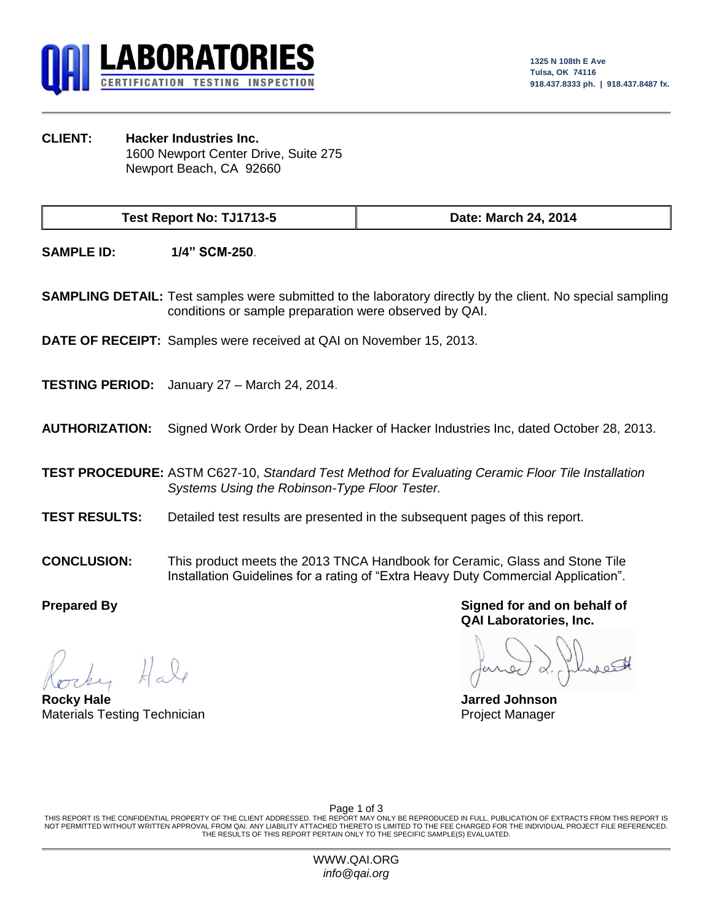

**CLIENT: Hacker Industries Inc.** 1600 Newport Center Drive, Suite 275 Newport Beach, CA 92660

**Test Report No: TJ1713-5 Date: March 24, 2014**

**SAMPLE ID: 1/4" SCM-250**.

**SAMPLING DETAIL:** Test samples were submitted to the laboratory directly by the client. No special sampling conditions or sample preparation were observed by QAI.

**DATE OF RECEIPT:** Samples were received at QAI on November 15, 2013.

**TESTING PERIOD:** January 27 – March 24, 2014.

**AUTHORIZATION:** Signed Work Order by Dean Hacker of Hacker Industries Inc, dated October 28, 2013.

**TEST PROCEDURE:** ASTM C627-10, *Standard Test Method for Evaluating Ceramic Floor Tile Installation Systems Using the Robinson-Type Floor Tester.*

- **TEST RESULTS:** Detailed test results are presented in the subsequent pages of this report.
- **CONCLUSION:** This product meets the 2013 TNCA Handbook for Ceramic, Glass and Stone Tile Installation Guidelines for a rating of "Extra Heavy Duty Commercial Application".

**Rocky Hale Jarred Johnson** Materials Testing Technician **Project Manager** Project Manager

**Prepared By Signed for and on behalf of QAI Laboratories, Inc.**

Page 1 of 3

THIS REPORT IS THE CONFIDENTIAL PROPERTY OF THE CLIENT ADDRESSED. THE REPORT MAY ONLY BE REPRODUCED IN FULL. PUBLICATION OF EXTRACTS FROM THIS REPORT IS NOT PERMITTED WITHOUT WRITTEN APPROVAL FROM QAI. ANY LIABILITY ATTACHED THERETO IS LIMITED TO THE FEE CHARGED FOR THE INDIVIDUAL PROJECT FILE REFERENCED. THE RESULTS OF THIS REPORT PERTAIN ONLY TO THE SPECIFIC SAMPLE(S) EVALUATED.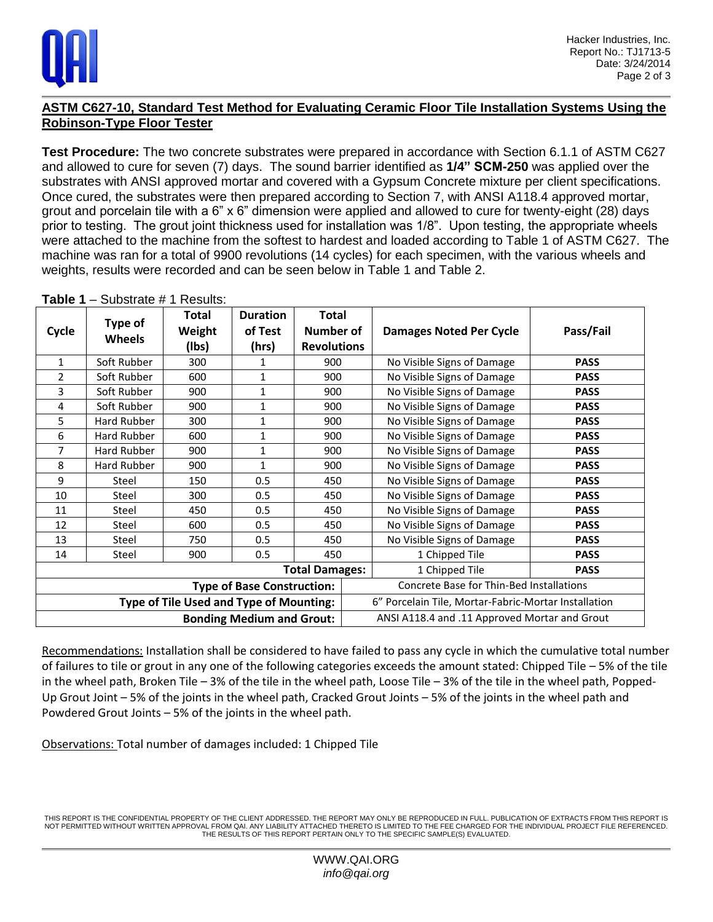

## **ASTM C627-10, Standard Test Method for Evaluating Ceramic Floor Tile Installation Systems Using the Robinson-Type Floor Tester**

**Test Procedure:** The two concrete substrates were prepared in accordance with Section 6.1.1 of ASTM C627 and allowed to cure for seven (7) days. The sound barrier identified as **1/4" SCM-250** was applied over the substrates with ANSI approved mortar and covered with a Gypsum Concrete mixture per client specifications. Once cured, the substrates were then prepared according to Section 7, with ANSI A118.4 approved mortar, grout and porcelain tile with a 6" x 6" dimension were applied and allowed to cure for twenty-eight (28) days prior to testing. The grout joint thickness used for installation was 1/8". Upon testing, the appropriate wheels were attached to the machine from the softest to hardest and loaded according to Table 1 of ASTM C627. The machine was ran for a total of 9900 revolutions (14 cycles) for each specimen, with the various wheels and weights, results were recorded and can be seen below in Table 1 and Table 2.

| Cycle                            | Type of<br><b>Wheels</b> | Total<br>Weight<br>(Ibs)                | <b>Duration</b><br>of Test<br>(hrs) | <b>Total</b><br>Number of<br><b>Revolutions</b> | <b>Damages Noted Per Cycle</b>                       | Pass/Fail   |
|----------------------------------|--------------------------|-----------------------------------------|-------------------------------------|-------------------------------------------------|------------------------------------------------------|-------------|
| $\mathbf{1}$                     | Soft Rubber              | 300                                     |                                     | 900                                             | No Visible Signs of Damage                           | <b>PASS</b> |
| $\overline{2}$                   | Soft Rubber              | 600                                     | $\mathbf{1}$                        | 900                                             | No Visible Signs of Damage                           | <b>PASS</b> |
| 3                                | Soft Rubber              | 900                                     | 1                                   | 900                                             | No Visible Signs of Damage                           | <b>PASS</b> |
| 4                                | Soft Rubber              | 900                                     | 1                                   | 900                                             | No Visible Signs of Damage                           | <b>PASS</b> |
| 5                                | Hard Rubber              | 300                                     | 1                                   | 900                                             | No Visible Signs of Damage                           | <b>PASS</b> |
| 6                                | Hard Rubber              | 600                                     | $\mathbf{1}$                        | 900                                             | No Visible Signs of Damage                           | <b>PASS</b> |
| 7                                | Hard Rubber              | 900                                     | 1                                   | 900                                             | No Visible Signs of Damage                           | <b>PASS</b> |
| 8                                | Hard Rubber              | 900                                     | 1                                   | 900                                             | No Visible Signs of Damage                           | <b>PASS</b> |
| 9                                | Steel                    | 150                                     | 0.5                                 | 450                                             | No Visible Signs of Damage                           | <b>PASS</b> |
| 10                               | Steel                    | 300                                     | 0.5                                 | 450                                             | No Visible Signs of Damage                           | <b>PASS</b> |
| 11                               | Steel                    | 450                                     | 0.5                                 | 450                                             | No Visible Signs of Damage                           | <b>PASS</b> |
| 12                               | Steel                    | 600                                     | 0.5                                 | 450                                             | No Visible Signs of Damage                           | <b>PASS</b> |
| 13                               | <b>Steel</b>             | 750                                     | 0.5                                 | 450                                             | No Visible Signs of Damage                           | <b>PASS</b> |
| 14                               | Steel                    | 900                                     | 0.5                                 | 450                                             | 1 Chipped Tile                                       | <b>PASS</b> |
| <b>Total Damages:</b>            |                          |                                         |                                     |                                                 | 1 Chipped Tile                                       | <b>PASS</b> |
|                                  |                          |                                         | <b>Type of Base Construction:</b>   |                                                 | <b>Concrete Base for Thin-Bed Installations</b>      |             |
|                                  |                          | Type of Tile Used and Type of Mounting: |                                     |                                                 | 6" Porcelain Tile, Mortar-Fabric-Mortar Installation |             |
| <b>Bonding Medium and Grout:</b> |                          |                                         |                                     |                                                 | ANSI A118.4 and .11 Approved Mortar and Grout        |             |

**Table 1** – Substrate # 1 Results:

Recommendations: Installation shall be considered to have failed to pass any cycle in which the cumulative total number of failures to tile or grout in any one of the following categories exceeds the amount stated: Chipped Tile – 5% of the tile in the wheel path, Broken Tile – 3% of the tile in the wheel path, Loose Tile – 3% of the tile in the wheel path, Popped-Up Grout Joint – 5% of the joints in the wheel path, Cracked Grout Joints – 5% of the joints in the wheel path and Powdered Grout Joints – 5% of the joints in the wheel path.

Observations: Total number of damages included: 1 Chipped Tile

THIS REPORT IS THE CONFIDENTIAL PROPERTY OF THE CLIENT ADDRESSED. THE REPORT MAY ONLY BE REPRODUCED IN FULL. PUBLICATION OF EXTRACTS FROM THIS REPORT IS NOT PERMITTED WITHOUT WRITTEN APPROVAL FROM QAI. ANY LIABILITY ATTACHED THERETO IS LIMITED TO THE FEE CHARGED FOR THE INDIVIDUAL PROJECT FILE REFERENCED. THE RESULTS OF THIS REPORT PERTAIN ONLY TO THE SPECIFIC SAMPLE(S) EVALUATED.